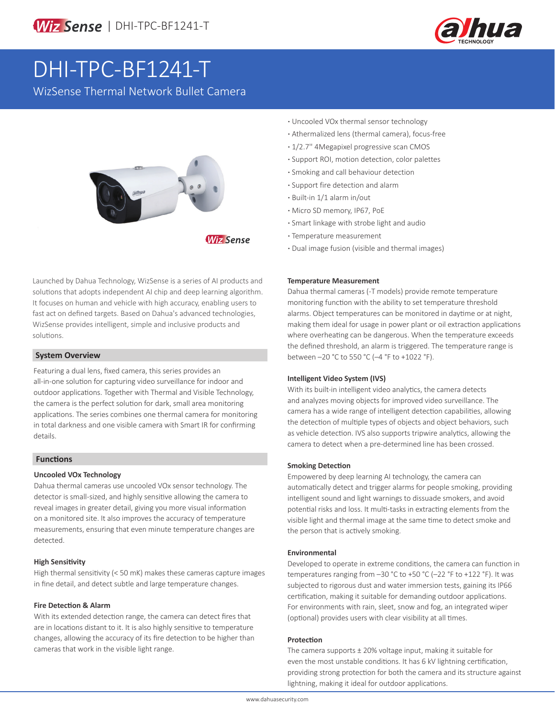

# DHI-TPC-BF1241-T

WizSense Thermal Network Bullet Camera



**Wiz Sense** 

Launched by Dahua Technology, WizSense is a series of AI products and solutions that adopts independent AI chip and deep learning algorithm. It focuses on human and vehicle with high accuracy, enabling users to fast act on defined targets. Based on Dahua's advanced technologies, WizSense provides intelligent, simple and inclusive products and solutions.

# **System Overview**

Featuring a dual lens, fixed camera, this series provides an all-in-one solution for capturing video surveillance for indoor and outdoor applications. Together with Thermal and Visible Technology, the camera is the perfect solution for dark, small area monitoring applications. The series combines one thermal camera for monitoring in total darkness and one visible camera with Smart IR for confirming details.

# **Functions**

# **Uncooled VOx Technology**

Dahua thermal cameras use uncooled VOx sensor technology. The detector is small-sized, and highly sensitive allowing the camera to reveal images in greater detail, giving you more visual information on a monitored site. It also improves the accuracy of temperature measurements, ensuring that even minute temperature changes are detected.

# **High Sensitivity**

High thermal sensitivity (< 50 mK) makes these cameras capture images in fine detail, and detect subtle and large temperature changes.

# **Fire Detection & Alarm**

With its extended detection range, the camera can detect fires that are in locations distant to it. It is also highly sensitive to temperature changes, allowing the accuracy of its fire detection to be higher than cameras that work in the visible light range.

- **·** Uncooled VOx thermal sensor technology
- **·** Athermalized lens (thermal camera), focus-free
- **·** 1/2.7'' 4Megapixel progressive scan CMOS
- **·** Support ROI, motion detection, color palettes
- **·** Smoking and call behaviour detection
- **·** Support fire detection and alarm
- **·** Built-in 1/1 alarm in/out
- **·** Micro SD memory, IP67, PoE
- **·** Smart linkage with strobe light and audio
- **·** Temperature measurement
- **·** Dual image fusion (visible and thermal images)

### **Temperature Measurement**

Dahua thermal cameras (-T models) provide remote temperature monitoring function with the ability to set temperature threshold alarms. Object temperatures can be monitored in daytime or at night, making them ideal for usage in power plant or oil extraction applications where overheating can be dangerous. When the temperature exceeds the defined threshold, an alarm is triggered. The temperature range is between -20 °C to 550 °C (-4 °F to +1022 °F).

# **Intelligent Video System (IVS)**

With its built-in intelligent video analytics, the camera detects and analyzes moving objects for improved video surveillance. The camera has a wide range of intelligent detection capabilities, allowing the detection of multiple types of objects and object behaviors, such as vehicle detection. IVS also supports tripwire analytics, allowing the camera to detect when a pre-determined line has been crossed.

# **Smoking Detection**

Empowered by deep learning AI technology, the camera can automatically detect and trigger alarms for people smoking, providing intelligent sound and light warnings to dissuade smokers, and avoid potential risks and loss. It multi-tasks in extracting elements from the visible light and thermal image at the same time to detect smoke and the person that is actively smoking.

# **Environmental**

Developed to operate in extreme conditions, the camera can function in temperatures ranging from –30 °C to +50 °C (–22 °F to +122 °F). It was subjected to rigorous dust and water immersion tests, gaining its IP66 certification, making it suitable for demanding outdoor applications. For environments with rain, sleet, snow and fog, an integrated wiper (optional) provides users with clear visibility at all times.

#### **Protection**

The camera supports ± 20% voltage input, making it suitable for even the most unstable conditions. It has 6 kV lightning certification, providing strong protection for both the camera and its structure against lightning, making it ideal for outdoor applications.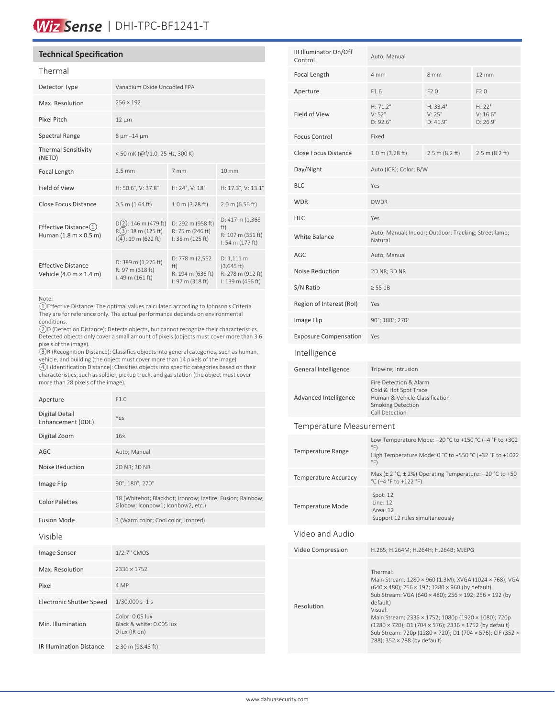# Wiz Sense | DHI-TPC-BF1241-T

# **Technical Specification**

### Thermal

| Detector Type                                                               | Vanadium Oxide Uncooled FPA                                                  |                                                                                     |                                                                                   |
|-----------------------------------------------------------------------------|------------------------------------------------------------------------------|-------------------------------------------------------------------------------------|-----------------------------------------------------------------------------------|
| Max. Resolution                                                             | $256 \times 192$                                                             |                                                                                     |                                                                                   |
| Pixel Pitch                                                                 | $12 \mu m$                                                                   |                                                                                     |                                                                                   |
| Spectral Range                                                              | 8 µm-14 µm                                                                   |                                                                                     |                                                                                   |
| <b>Thermal Sensitivity</b><br>(NETD)                                        | <50 mK (@f/1.0, 25 Hz, 300 K)                                                |                                                                                     |                                                                                   |
| Focal Length                                                                | $3.5 \text{ mm}$                                                             | 7 mm                                                                                | $10 \text{ mm}$                                                                   |
| Field of View                                                               | H: 50.6°, V: 37.8°                                                           | H: 24°, V: 18°                                                                      | H: 17.3°, V: 13.1°                                                                |
| <b>Close Focus Distance</b>                                                 | $0.5$ m $(1.64$ ft)                                                          | $1.0 \text{ m}$ (3.28 ft)                                                           | $2.0 \text{ m}$ (6.56 ft)                                                         |
| Effective Distance(1)<br>Human $(1.8 \text{ m} \times 0.5 \text{ m})$       | $D(2)$ : 146 m (479 ft)<br>$R(3)$ : 38 m (125 ft)<br>$(4)$ : 19 m (622 ft)   | D: 292 m (958 ft)<br>R: 75 m (246 ft)<br>I: 38 m (125 ft)                           | D: 417 m (1,368)<br>ft)<br>R: 107 m (351 ft)<br>$1:54 \text{ m} (177 \text{ ft})$ |
| <b>Effective Distance</b><br>Vehicle $(4.0 \text{ m} \times 1.4 \text{ m})$ | D: 389 m (1,276 ft)<br>R: 97 m (318 ft)<br>$1:49 \text{ m} (161 \text{ ft})$ | D: 778 m $(2,552)$<br>ft)<br>R: 194 m (636 ft)<br>$1:97 \text{ m} (318 \text{ ft})$ | D: 1,111 m<br>(3,645 ft)<br>R: 278 m (912 ft)<br>I: 139 m (456 ft)                |

#### Note:

①Effective Distance: The optimal values calculated according to Johnson's Criteria. They are for reference only. The actual performance depends on environmental conditions.

②D (Detection Distance): Detects objects, but cannot recognize their characteristics. Detected objects only cover a small amount of pixels (objects must cover more than 3.6 pixels of the image).

③R (Recognition Distance): Classifies objects into general categories, such as human, vehicle, and building (the object must cover more than 14 pixels of the image). ④I (Identification Distance): Classifies objects into specific categories based on their characteristics, such as soldier, pickup truck, and gas station (the object must cover more than 28 pixels of the image).

| Aperture                            | F1.0                                                                                            |
|-------------------------------------|-------------------------------------------------------------------------------------------------|
| Digital Detail<br>Enhancement (DDE) | Yes                                                                                             |
| Digital Zoom                        | 16x                                                                                             |
| AGC                                 | Auto; Manual                                                                                    |
| Noise Reduction                     | 2D NR; 3D NR                                                                                    |
| Image Flip                          | 90°; 180°; 270°                                                                                 |
| <b>Color Palettes</b>               | 18 (Whitehot; Blackhot; Ironrow; Icefire; Fusion; Rainbow;<br>Globow; Iconbow1; Iconbow2, etc.) |
| <b>Fusion Mode</b>                  | 3 (Warm color; Cool color; Ironred)                                                             |
| Visible                             |                                                                                                 |
| Image Sensor                        | 1/2.7" CMOS                                                                                     |
| Max. Resolution                     | 2336 × 1752                                                                                     |
| Pixel                               | 4 MP                                                                                            |
| <b>Electronic Shutter Speed</b>     | $1/30,000 s - 1 s$                                                                              |
| Min. Illumination                   | Color: 0.05 lux<br>Black & white: 0.005 lux<br>0 lux (IR on)                                    |
| <b>IR Illumination Distance</b>     | $\geq$ 30 m (98.43 ft)                                                                          |

| IR Illuminator On/Off<br>Control | Auto; Manual                                                                      |                                        |                                                |
|----------------------------------|-----------------------------------------------------------------------------------|----------------------------------------|------------------------------------------------|
| Focal Length                     | 4 mm                                                                              | 8 mm                                   | 12 mm                                          |
| Aperture                         | F1.6                                                                              | F2.0                                   | F2.0                                           |
| Field of View                    | $H: 71.2^{\circ}$<br>V:52°<br>$D: 92.6^{\circ}$                                   | $H: 33.4^{\circ}$<br>V:25°<br>D: 41.9° | $H: 22^{\circ}$<br>$V: 16.6^\circ$<br>D: 26.9° |
| <b>Focus Control</b>             | Fixed                                                                             |                                        |                                                |
| Close Focus Distance             | 1.0 m (3.28 ft)                                                                   | 2.5 m (8.2 ft)                         | 2.5 m (8.2 ft)                                 |
| Day/Night                        | Auto (ICR); Color; B/W                                                            |                                        |                                                |
| <b>BLC</b>                       | Yes                                                                               |                                        |                                                |
| <b>WDR</b>                       | <b>DWDR</b>                                                                       |                                        |                                                |
| <b>HLC</b>                       | Yes                                                                               |                                        |                                                |
| White Balance                    | Auto; Manual; Indoor; Outdoor; Tracking; Street lamp;<br>Natural                  |                                        |                                                |
| AGC                              | Auto; Manual                                                                      |                                        |                                                |
| <b>Noise Reduction</b>           | 2D NR; 3D NR                                                                      |                                        |                                                |
| S/N Ratio                        | $> 55$ dB                                                                         |                                        |                                                |
| Region of Interest (RoI)         | Yes                                                                               |                                        |                                                |
| Image Flip                       | 90°; 180°; 270°                                                                   |                                        |                                                |
| <b>Exposure Compensation</b>     | Yes                                                                               |                                        |                                                |
| Intelligence                     |                                                                                   |                                        |                                                |
| General Intelligence             | Tripwire; Intrusion                                                               |                                        |                                                |
| Advanced Intelligence            | Fire Detection & Alarm<br>Cold & Hot Spot Trace<br>Human & Vehicle Classification |                                        |                                                |

#### Temperature Measurement

| <b>Temperature Range</b>    | Low Temperature Mode: -20 °C to +150 °C (-4 °F to +302<br>$\degree$ F)<br>High Temperature Mode: 0 °C to +550 °C (+32 °F to +1022<br>°F)                                                                                                                                                                                                                                                                                                              |
|-----------------------------|-------------------------------------------------------------------------------------------------------------------------------------------------------------------------------------------------------------------------------------------------------------------------------------------------------------------------------------------------------------------------------------------------------------------------------------------------------|
| <b>Temperature Accuracy</b> | Max (± 2 °C, ± 2%) Operating Temperature: -20 °C to +50<br>°C (-4 °F to +122 °F)                                                                                                                                                                                                                                                                                                                                                                      |
| <b>Temperature Mode</b>     | Spot: 12<br>line: 12<br>Area: 12<br>Support 12 rules simultaneously                                                                                                                                                                                                                                                                                                                                                                                   |
| Video and Audio             |                                                                                                                                                                                                                                                                                                                                                                                                                                                       |
| Video Compression           | H.265; H.264M; H.264H; H.264B; MJEPG                                                                                                                                                                                                                                                                                                                                                                                                                  |
| Resolution                  | Thermal <sup>.</sup><br>Main Stream: 1280 × 960 (1.3M); XVGA (1024 × 768); VGA<br>(640 × 480); 256 × 192; 1280 × 960 (by default)<br>Sub Stream: VGA (640 x 480); 256 x 192; 256 x 192 (by<br>default)<br>Visual:<br>Main Stream: 2336 × 1752; 1080p (1920 × 1080); 720p<br>$(1280 \times 720)$ ; D1 (704 $\times$ 576); 2336 $\times$ 1752 (by default)<br>Sub Stream: 720p (1280 × 720); D1 (704 × 576); CIF (352 ×<br>288); 352 × 288 (by default) |

Smoking Detection Call Detection